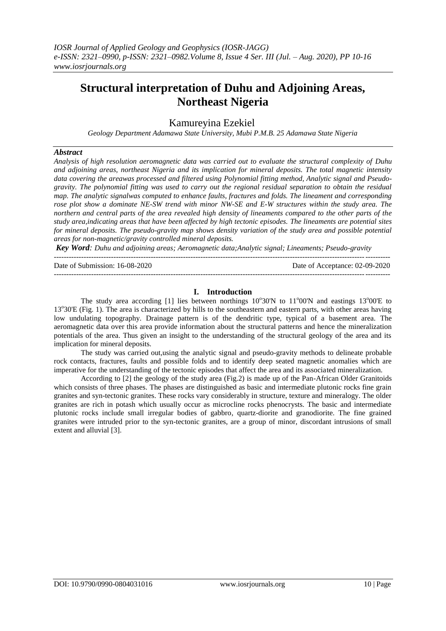# **Structural interpretation of Duhu and Adjoining Areas, Northeast Nigeria**

# Kamureyina Ezekiel

*Geology Department Adamawa State University, Mubi P.M.B. 25 Adamawa State Nigeria*

## *Abstract*

*Analysis of high resolution aeromagnetic data was carried out to evaluate the structural complexity of Duhu and adjoining areas, northeast Nigeria and its implication for mineral deposits. The total magnetic intensity data covering the areawas processed and filtered using Polynomial fitting method, Analytic signal and Pseudogravity. The polynomial fitting was used to carry out the regional residual separation to obtain the residual map. The analytic signalwas computed to enhance faults, fractures and folds. The lineament and corresponding rose plot show a dominate NE-SW trend with minor NW-SE and E-W structures within the study area. The northern and central parts of the area revealed high density of lineaments compared to the other parts of the study area,indicating areas that have been affected by high tectonic episodes. The lineaments are potential sites for mineral deposits. The pseudo-gravity map shows density variation of the study area and possible potential areas for non-magnetic/gravity controlled mineral deposits.* 

*Key Word: Duhu and adjoining areas; Aeromagnetic data;Analytic signal; Lineaments; Pseudo-gravity*

| Date of Submission: 16-08-2020 | Date of Acceptance: 02-09-2020 |
|--------------------------------|--------------------------------|
|                                |                                |

# **I. Introduction**

The study area according [1] lies between northings  $10^{\circ}30'N$  to  $11^{\circ}00'N$  and eastings  $13^{\circ}00'E$  to 13°30'E (Fig. 1). The area is characterized by hills to the southeastern and eastern parts, with other areas having low undulating topography. Drainage pattern is of the dendritic type, typical of a basement area. The aeromagnetic data over this area provide information about the structural patterns and hence the mineralization potentials of the area. Thus given an insight to the understanding of the structural geology of the area and its implication for mineral deposits.

The study was carried out,using the analytic signal and pseudo-gravity methods to delineate probable rock contacts, fractures, faults and possible folds and to identify deep seated magnetic anomalies which are imperative for the understanding of the tectonic episodes that affect the area and its associated mineralization.

According to [2] the geology of the study area (Fig.2) is made up of the Pan-African Older Granitoids which consists of three phases. The phases are distinguished as basic and intermediate plutonic rocks fine grain granites and syn-tectonic granites. These rocks vary considerably in structure, texture and mineralogy. The older granites are rich in potash which usually occur as microcline rocks phenocrysts. The basic and intermediate plutonic rocks include small irregular bodies of gabbro, quartz-diorite and granodiorite. The fine grained granites were intruded prior to the syn-tectonic granites, are a group of minor, discordant intrusions of small extent and alluvial [3].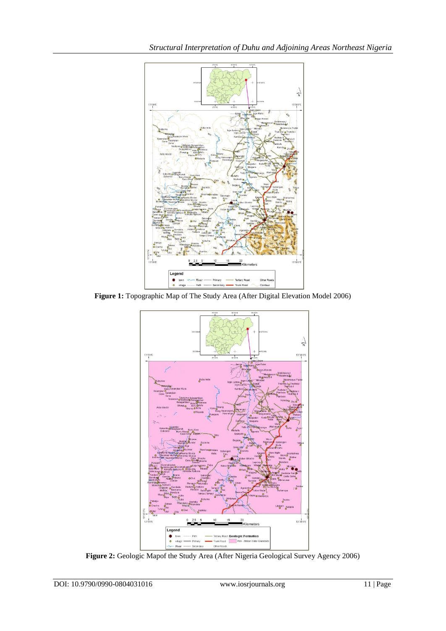

**Figure 1:** Topographic Map of The Study Area (After Digital Elevation Model 2006)



**Figure 2:** Geologic Mapof the Study Area (After Nigeria Geological Survey Agency 2006)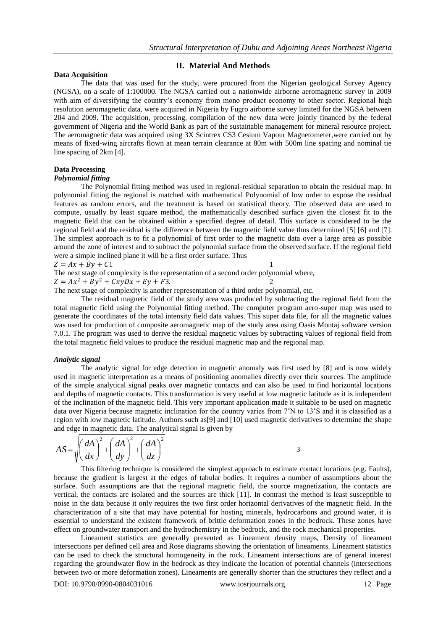#### **Data Acquisition**

#### **II. Material And Methods**

The data that was used for the study, were procured from the Nigerian geological Survey Agency (NGSA), on a scale of 1:100000. The NGSA carried out a nationwide airborne aeromagnetic survey in 2009 with aim of diversifying the country's economy from mono product economy to other sector. Regional high resolution aeromagnetic data, were acquired in Nigeria by Fugro airborne survey limited for the NGSA between 204 and 2009. The acquisition, processing, compilation of the new data were jointly financed by the federal government of Nigeria and the World Bank as part of the sustainable management for mineral resource project. The aeromagnetic data was acquired using 3X Scintrex CS3 Cesium Vapour Magnetometer,were carried out by means of fixed-wing aircrafts flown at mean terrain clearance at 80m with 500m line spacing and nominal tie line spacing of 2km [4].

# **Data Processing**

#### *Polynomial fitting*

The Polynomial fitting method was used in regional-residual separation to obtain the residual map. In polynomial fitting the regional is matched with mathematical Polynomial of low order to expose the residual features as random errors, and the treatment is based on statistical theory. The observed data are used to compute, usually by least square method, the mathematically described surface given the closest fit to the magnetic field that can be obtained within a specified degree of detail. This surface is considered to be the regional field and the residual is the difference between the magnetic field value thus determined [5] [6] and [7]. The simplest approach is to fit a polynomial of first order to the magnetic data over a large area as possible around the zone of interest and to subtract the polynomial surface from the observed surface. If the regional field were a simple inclined plane it will be a first order surface. Thus

$$
Z = Ax + By + C1 \tag{1}
$$

The next stage of complexity is the representation of a second order polynomial where,

$$
Z = Ax^2 + By^2 + CxyDx + Ey + F3.
$$

The next stage of complexity is another representation of a third order polynomial, etc.

The residual magnetic field of the study area was produced by subtracting the regional field from the total magnetic field using the Polynomial fitting method. The computer program aero-super map was used to generate the coordinates of the total intensity field data values. This super data file, for all the magnetic values was used for production of composite aeromagnetic map of the study area using Oasis Montaj software version 7.0.1. The program was used to derive the residual magnetic values by subtracting values of regional field from the total magnetic field values to produce the residual magnetic map and the regional map.

#### *Analytic signal*

The analytic signal for edge detection in magnetic anomaly was first used by [8] and is now widely used in magnetic interpretation as a means of positioning anomalies directly over their sources. The amplitude of the simple analytical signal peaks over magnetic contacts and can also be used to find horizontal locations and depths of magnetic contacts. This transformation is very useful at low magnetic latitude as it is independent of the inclination of the magnetic field. This very important application made it suitable to be used on magnetic data over Nigeria because magnetic inclination for the country varies from 7˚N to 13˚S and it is classified as a region with low magnetic latitude. Authors such as[9] and [10] used magnetic derivatives to determine the shape and edge in magnetic data. The analytical signal is given by

$$
AS = \sqrt{\left(\frac{dA}{dx}\right)^2 + \left(\frac{dA}{dy}\right)^2 + \left(\frac{dA}{dz}\right)^2}
$$

3

This filtering technique is considered the simplest approach to estimate contact locations (e.g. Faults), because the gradient is largest at the edges of tabular bodies. It requires a number of assumptions about the surface. Such assumptions are that the regional magnetic field, the source magnetization, the contacts are vertical, the contacts are isolated and the sources are thick [11]. In contrast the method is least susceptible to noise in the data because it only requires the two first order horizontal derivatives of the magnetic field. In the characterization of a site that may have potential for hosting minerals, hydrocarbons and ground water, it is essential to understand the existent framework of brittle deformation zones in the bedrock. These zones have effect on groundwater transport and the hydrochemistry in the bedrock, and the rock mechanical properties.

Lineament statistics are generally presented as Lineament density maps, Density of lineament intersections per defined cell area and Rose diagrams showing the orientation of lineaments. Lineament statistics can be used to check the structural homogeneity in the rock. Lineament intersections are of general interest regarding the groundwater flow in the bedrock as they indicate the location of potential channels (intersections between two or more deformation zones). Lineaments are generally shorter than the structures they reflect and a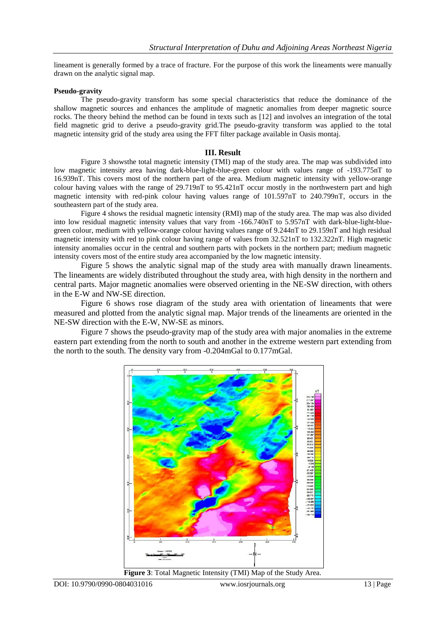lineament is generally formed by a trace of fracture. For the purpose of this work the lineaments were manually drawn on the analytic signal map.

#### **Pseudo-gravity**

The pseudo-gravity transform has some special characteristics that reduce the dominance of the shallow magnetic sources and enhances the amplitude of magnetic anomalies from deeper magnetic source rocks. The theory behind the method can be found in texts such as [12] and involves an integration of the total field magnetic grid to derive a pseudo-gravity grid.The pseudo-gravity transform was applied to the total magnetic intensity grid of the study area using the FFT filter package available in Oasis montaj.

#### **III. Result**

Figure 3 showsthe total magnetic intensity (TMI) map of the study area. The map was subdivided into low magnetic intensity area having dark-blue-light-blue-green colour with values range of -193.775nT to 16.939nT. This covers most of the northern part of the area. Medium magnetic intensity with yellow-orange colour having values with the range of 29.719nT to 95.421nT occur mostly in the northwestern part and high magnetic intensity with red-pink colour having values range of 101.597nT to 240.799nT, occurs in the southeastern part of the study area.

Figure 4 shows the residual magnetic intensity (RMI) map of the study area. The map was also divided into low residual magnetic intensity values that vary from -166.740nT to 5.957nT with dark-blue-light-bluegreen colour, medium with yellow-orange colour having values range of 9.244nT to 29.159nT and high residual magnetic intensity with red to pink colour having range of values from 32.521nT to 132.322nT. High magnetic intensity anomalies occur in the central and southern parts with pockets in the northern part; medium magnetic intensity covers most of the entire study area accompanied by the low magnetic intensity.

Figure 5 shows the analytic signal map of the study area with manually drawn lineaments. The lineaments are widely distributed throughout the study area, with high density in the northern and central parts. Major magnetic anomalies were observed orienting in the NE-SW direction, with others in the E-W and NW-SE direction.

Figure 6 shows rose diagram of the study area with orientation of lineaments that were measured and plotted from the analytic signal map. Major trends of the lineaments are oriented in the NE-SW direction with the E-W, NW-SE as minors.

Figure 7 shows the pseudo-gravity map of the study area with major anomalies in the extreme eastern part extending from the north to south and another in the extreme western part extending from the north to the south. The density vary from -0.204mGal to 0.177mGal.



**Figure 3**: Total Magnetic Intensity (TMI) Map of the Study Area.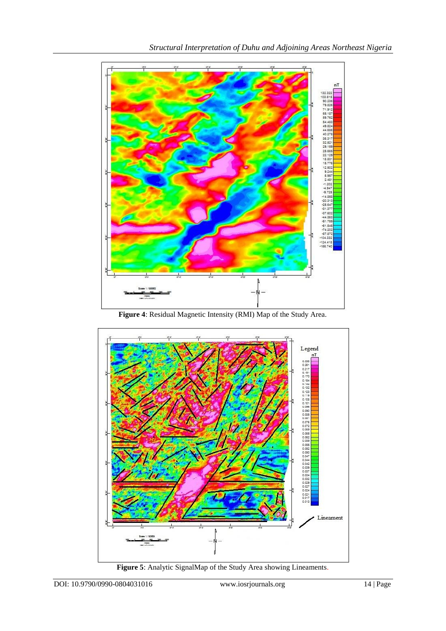

**Figure 4**: Residual Magnetic Intensity (RMI) Map of the Study Area.



**Figure 5**: Analytic SignalMap of the Study Area showing Lineaments.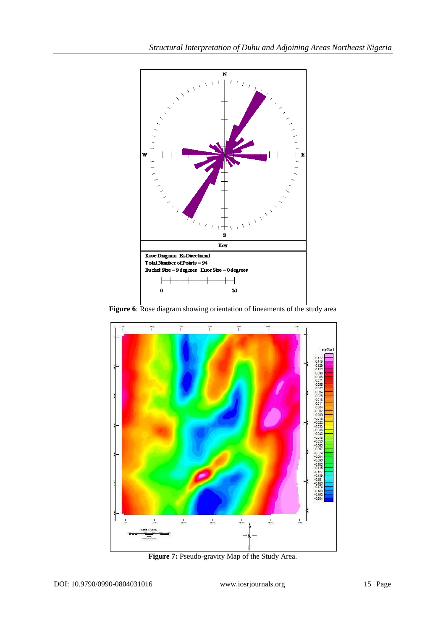

**Figure 6**: Rose diagram showing orientation of lineaments of the study area



**Figure 7:** Pseudo-gravity Map of the Study Area.